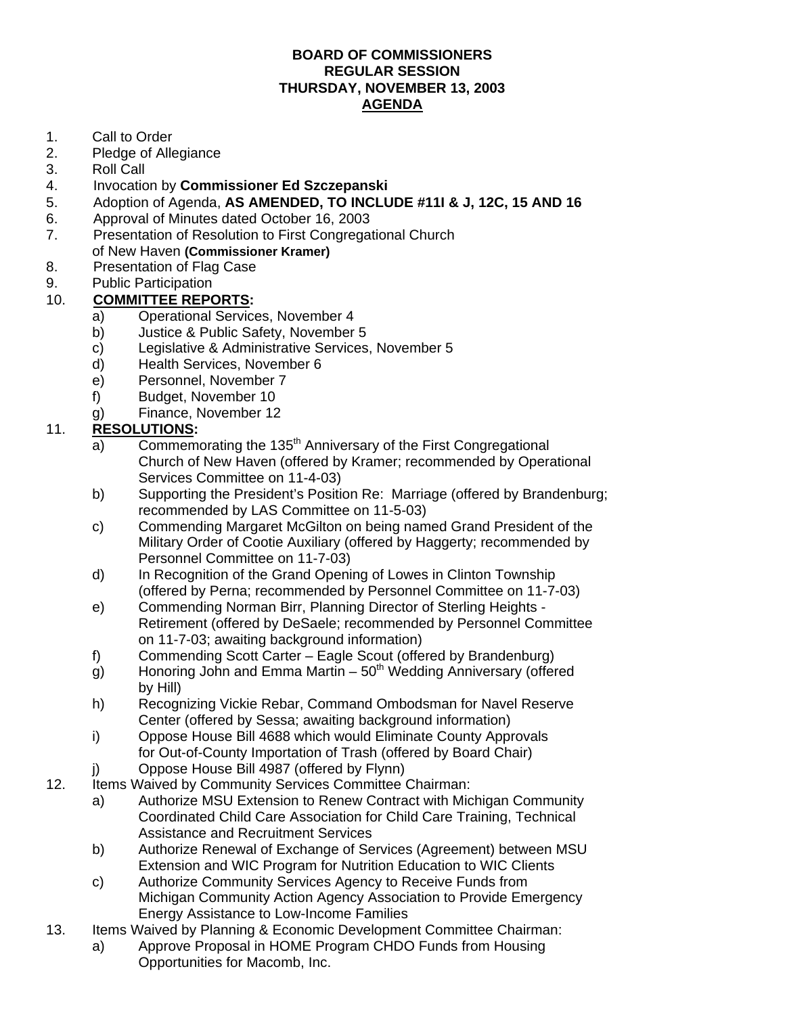## **BOARD OF COMMISSIONERS REGULAR SESSION THURSDAY, NOVEMBER 13, 2003 AGENDA**

- 1. Call to Order
- 2. Pledge of Allegiance
- 3. Roll Call
- 4. Invocation by **Commissioner Ed Szczepanski**
- 5. Adoption of Agenda, **AS AMENDED, TO INCLUDE #11I & J, 12C, 15 AND 16**
- 6. Approval of Minutes dated October 16, 2003
- 7. Presentation of Resolution to First Congregational Church
- of New Haven **(Commissioner Kramer)**
- 8. Presentation of Flag Case
- 9. Public Participation

## 10. **COMMITTEE REPORTS:**

- a) Operational Services, November 4
- b) Justice & Public Safety, November 5
- c) Legislative & Administrative Services, November 5
- d) Health Services, November 6
- e) Personnel, November 7
- f) Budget, November 10
- g) Finance, November 12

## 11. **RESOLUTIONS:**

- $\overline{a}$  Commemorating the 135<sup>th</sup> Anniversary of the First Congregational Church of New Haven (offered by Kramer; recommended by Operational Services Committee on 11-4-03)
- b) Supporting the President's Position Re: Marriage (offered by Brandenburg; recommended by LAS Committee on 11-5-03)
- c) Commending Margaret McGilton on being named Grand President of the Military Order of Cootie Auxiliary (offered by Haggerty; recommended by Personnel Committee on 11-7-03)
- d) In Recognition of the Grand Opening of Lowes in Clinton Township (offered by Perna; recommended by Personnel Committee on 11-7-03)
- e) Commending Norman Birr, Planning Director of Sterling Heights Retirement (offered by DeSaele; recommended by Personnel Committee on 11-7-03; awaiting background information)
- f) Commending Scott Carter Eagle Scout (offered by Brandenburg)
- g) Honoring John and Emma Martin  $-50<sup>th</sup>$  Wedding Anniversary (offered by Hill)
- h) Recognizing Vickie Rebar, Command Ombodsman for Navel Reserve Center (offered by Sessa; awaiting background information)
- i) Oppose House Bill 4688 which would Eliminate County Approvals for Out-of-County Importation of Trash (offered by Board Chair)
- j) Oppose House Bill 4987 (offered by Flynn)
- 12. Items Waived by Community Services Committee Chairman:
	- a) Authorize MSU Extension to Renew Contract with Michigan Community Coordinated Child Care Association for Child Care Training, Technical Assistance and Recruitment Services
	- b) Authorize Renewal of Exchange of Services (Agreement) between MSU Extension and WIC Program for Nutrition Education to WIC Clients
	- c) Authorize Community Services Agency to Receive Funds from Michigan Community Action Agency Association to Provide Emergency Energy Assistance to Low-Income Families
- 13. Items Waived by Planning & Economic Development Committee Chairman: a) Approve Proposal in HOME Program CHDO Funds from Housing
	- Opportunities for Macomb, Inc.